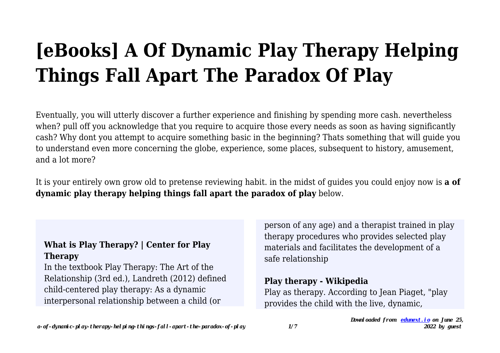# **[eBooks] A Of Dynamic Play Therapy Helping Things Fall Apart The Paradox Of Play**

Eventually, you will utterly discover a further experience and finishing by spending more cash. nevertheless when? pull off you acknowledge that you require to acquire those every needs as soon as having significantly cash? Why dont you attempt to acquire something basic in the beginning? Thats something that will guide you to understand even more concerning the globe, experience, some places, subsequent to history, amusement, and a lot more?

It is your entirely own grow old to pretense reviewing habit. in the midst of guides you could enjoy now is **a of dynamic play therapy helping things fall apart the paradox of play** below.

#### **What is Play Therapy? | Center for Play Therapy**

In the textbook Play Therapy: The Art of the Relationship (3rd ed.), Landreth (2012) defined child-centered play therapy: As a dynamic interpersonal relationship between a child (or

person of any age) and a therapist trained in play therapy procedures who provides selected play materials and facilitates the development of a safe relationship

#### **Play therapy - Wikipedia**

Play as therapy. According to Jean Piaget, "play provides the child with the live, dynamic,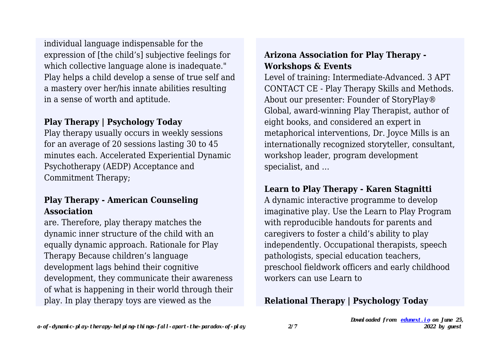individual language indispensable for the expression of [the child's] subjective feelings for which collective language alone is inadequate." Play helps a child develop a sense of true self and a mastery over her/his innate abilities resulting in a sense of worth and aptitude.

#### **Play Therapy | Psychology Today**

Play therapy usually occurs in weekly sessions for an average of 20 sessions lasting 30 to 45 minutes each. Accelerated Experiential Dynamic Psychotherapy (AEDP) Acceptance and Commitment Therapy;

## **Play Therapy - American Counseling Association**

are. Therefore, play therapy matches the dynamic inner structure of the child with an equally dynamic approach. Rationale for Play Therapy Because children's language development lags behind their cognitive development, they communicate their awareness of what is happening in their world through their play. In play therapy toys are viewed as the

#### **Arizona Association for Play Therapy - Workshops & Events**

Level of training: Intermediate-Advanced. 3 APT CONTACT CE - Play Therapy Skills and Methods. About our presenter: Founder of StoryPlay® Global, award-winning Play Therapist, author of eight books, and considered an expert in metaphorical interventions, Dr. Joyce Mills is an internationally recognized storyteller, consultant, workshop leader, program development specialist, and …

#### **Learn to Play Therapy - Karen Stagnitti**

A dynamic interactive programme to develop imaginative play. Use the Learn to Play Program with reproducible handouts for parents and caregivers to foster a child's ability to play independently. Occupational therapists, speech pathologists, special education teachers, preschool fieldwork officers and early childhood workers can use Learn to

## **Relational Therapy | Psychology Today**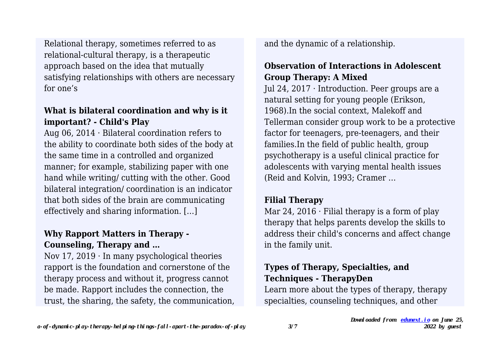Relational therapy, sometimes referred to as relational-cultural therapy, is a therapeutic approach based on the idea that mutually satisfying relationships with others are necessary for one's

# **What is bilateral coordination and why is it important? - Child's Play**

Aug 06, 2014 · Bilateral coordination refers to the ability to coordinate both sides of the body at the same time in a controlled and organized manner; for example, stabilizing paper with one hand while writing/ cutting with the other. Good bilateral integration/ coordination is an indicator that both sides of the brain are communicating effectively and sharing information. […]

#### **Why Rapport Matters in Therapy - Counseling, Therapy and …**

Nov  $17, 2019 \cdot \text{In}$  many psychological theories rapport is the foundation and cornerstone of the therapy process and without it, progress cannot be made. Rapport includes the connection, the trust, the sharing, the safety, the communication, and the dynamic of a relationship.

#### **Observation of Interactions in Adolescent Group Therapy: A Mixed**

Jul 24, 2017 · Introduction. Peer groups are a natural setting for young people (Erikson, 1968).In the social context, Malekoff and Tellerman consider group work to be a protective factor for teenagers, pre-teenagers, and their families.In the field of public health, group psychotherapy is a useful clinical practice for adolescents with varying mental health issues (Reid and Kolvin, 1993; Cramer …

#### **Filial Therapy**

Mar 24, 2016  $\cdot$  Filial therapy is a form of play therapy that helps parents develop the skills to address their child's concerns and affect change in the family unit.

# **Types of Therapy, Specialties, and Techniques - TherapyDen**

Learn more about the types of therapy, therapy specialties, counseling techniques, and other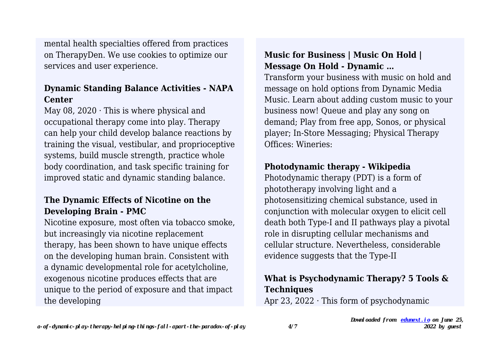mental health specialties offered from practices on TherapyDen. We use cookies to optimize our services and user experience.

# **Dynamic Standing Balance Activities - NAPA Center**

May 08,  $2020 \cdot$  This is where physical and occupational therapy come into play. Therapy can help your child develop balance reactions by training the visual, vestibular, and proprioceptive systems, build muscle strength, practice whole body coordination, and task specific training for improved static and dynamic standing balance.

# **The Dynamic Effects of Nicotine on the Developing Brain - PMC**

Nicotine exposure, most often via tobacco smoke, but increasingly via nicotine replacement therapy, has been shown to have unique effects on the developing human brain. Consistent with a dynamic developmental role for acetylcholine, exogenous nicotine produces effects that are unique to the period of exposure and that impact the developing

# **Music for Business | Music On Hold | Message On Hold - Dynamic …**

Transform your business with music on hold and message on hold options from Dynamic Media Music. Learn about adding custom music to your business now! Queue and play any song on demand; Play from free app, Sonos, or physical player; In-Store Messaging; Physical Therapy Offices: Wineries:

# **Photodynamic therapy - Wikipedia**

Photodynamic therapy (PDT) is a form of phototherapy involving light and a photosensitizing chemical substance, used in conjunction with molecular oxygen to elicit cell death both Type-I and II pathways play a pivotal role in disrupting cellular mechanisms and cellular structure. Nevertheless, considerable evidence suggests that the Type-II

# **What is Psychodynamic Therapy? 5 Tools & Techniques**

Apr 23, 2022 · This form of psychodynamic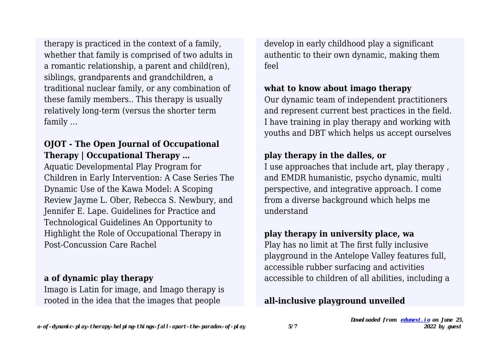therapy is practiced in the context of a family, whether that family is comprised of two adults in a romantic relationship, a parent and child(ren), siblings, grandparents and grandchildren, a traditional nuclear family, or any combination of these family members.. This therapy is usually relatively long-term (versus the shorter term family …

## **OJOT - The Open Journal of Occupational Therapy | Occupational Therapy …**

Aquatic Developmental Play Program for Children in Early Intervention: A Case Series The Dynamic Use of the Kawa Model: A Scoping Review Jayme L. Ober, Rebecca S. Newbury, and Jennifer E. Lape. Guidelines for Practice and Technological Guidelines An Opportunity to Highlight the Role of Occupational Therapy in Post-Concussion Care Rachel

## **a of dynamic play therapy**

Imago is Latin for image, and Imago therapy is rooted in the idea that the images that people

develop in early childhood play a significant authentic to their own dynamic, making them feel

# **what to know about imago therapy**

Our dynamic team of independent practitioners and represent current best practices in the field. I have training in play therapy and working with youths and DBT which helps us accept ourselves

# **play therapy in the dalles, or**

I use approaches that include art, play therapy , and EMDR humanistic, psycho dynamic, multi perspective, and integrative approach. I come from a diverse background which helps me understand

#### **play therapy in university place, wa**

Play has no limit at The first fully inclusive playground in the Antelope Valley features full, accessible rubber surfacing and activities accessible to children of all abilities, including a

# **all-inclusive playground unveiled**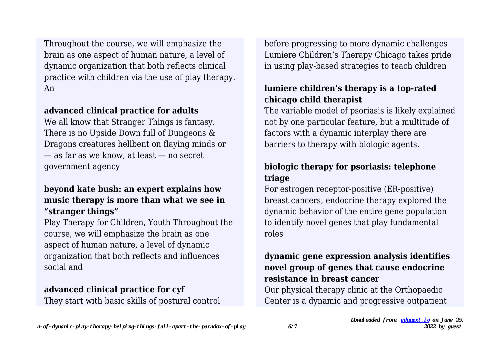Throughout the course, we will emphasize the brain as one aspect of human nature, a level of dynamic organization that both reflects clinical practice with children via the use of play therapy. An

#### **advanced clinical practice for adults**

We all know that Stranger Things is fantasy. There is no Upside Down full of Dungeons & Dragons creatures hellbent on flaying minds or — as far as we know, at least — no secret government agency

## **beyond kate bush: an expert explains how music therapy is more than what we see in "stranger things"**

Play Therapy for Children, Youth Throughout the course, we will emphasize the brain as one aspect of human nature, a level of dynamic organization that both reflects and influences social and

## **advanced clinical practice for cyf**

They start with basic skills of postural control

before progressing to more dynamic challenges Lumiere Children's Therapy Chicago takes pride in using play-based strategies to teach children

# **lumiere children's therapy is a top-rated chicago child therapist**

The variable model of psoriasis is likely explained not by one particular feature, but a multitude of factors with a dynamic interplay there are barriers to therapy with biologic agents.

# **biologic therapy for psoriasis: telephone triage**

For estrogen receptor-positive (ER-positive) breast cancers, endocrine therapy explored the dynamic behavior of the entire gene population to identify novel genes that play fundamental roles

#### **dynamic gene expression analysis identifies novel group of genes that cause endocrine resistance in breast cancer**

Our physical therapy clinic at the Orthopaedic Center is a dynamic and progressive outpatient